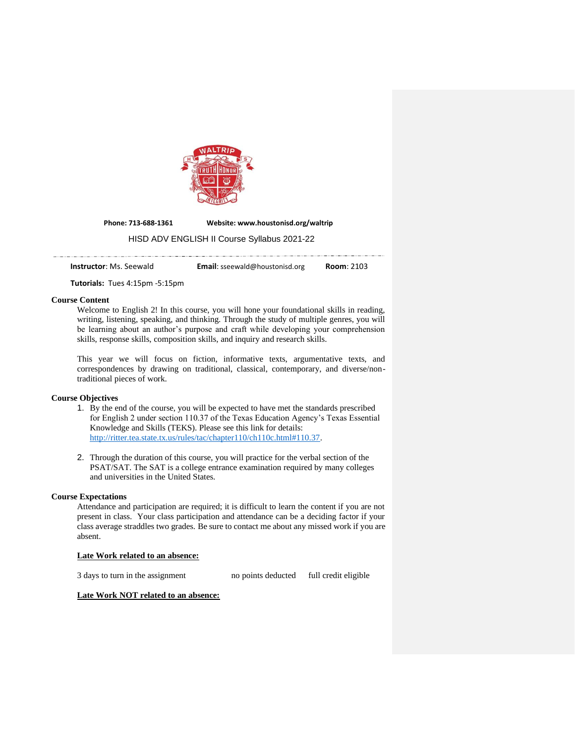

**Phone: 713-688-1361 Website: www.houstonisd.org/waltrip**

#### HISD ADV ENGLISH II Course Syllabus 2021-22

**Instructor**: Ms. Seewald **Email**: sseewald@houstonisd.org **Room**: 2103

**Tutorials:** Tues 4:15pm -5:15pm

#### **Course Content**

Welcome to English 2! In this course, you will hone your foundational skills in reading, writing, listening, speaking, and thinking. Through the study of multiple genres, you will be learning about an author's purpose and craft while developing your comprehension skills, response skills, composition skills, and inquiry and research skills.

This year we will focus on fiction, informative texts, argumentative texts, and correspondences by drawing on traditional, classical, contemporary, and diverse/nontraditional pieces of work.

#### **Course Objectives**

- 1. By the end of the course, you will be expected to have met the standards prescribed for English 2 under section 110.37 of the Texas Education Agency's Texas Essential Knowledge and Skills (TEKS). Please see this link for details: [http://ritter.tea.state.tx.us/rules/tac/chapter110/ch110c.html#110.37.](http://ritter.tea.state.tx.us/rules/tac/chapter110/ch110c.html#110.37)
- 2. Through the duration of this course, you will practice for the verbal section of the PSAT/SAT. The SAT is a college entrance examination required by many colleges and universities in the United States.

#### **Course Expectations**

Attendance and participation are required; it is difficult to learn the content if you are not present in class. Your class participation and attendance can be a deciding factor if your class average straddles two grades. Be sure to contact me about any missed work if you are absent.

# **Late Work related to an absence:**

3 days to turn in the assignment no points deducted full credit eligible

## **Late Work NOT related to an absence:**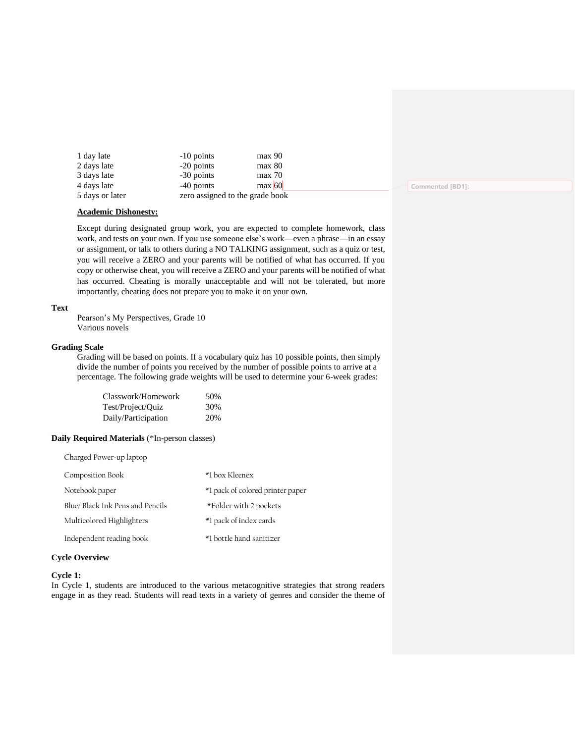| 1 day late      | $-10$ points                    | max 90 |                  |
|-----------------|---------------------------------|--------|------------------|
| 2 days late     | $-20$ points                    | max 80 |                  |
| 3 days late     | -30 points                      | max 70 |                  |
| 4 days late     | $-40$ points                    | max 60 | Commented [BD1]: |
| 5 days or later | zero assigned to the grade book |        |                  |

#### **Academic Dishonesty:**

Except during designated group work, you are expected to complete homework, class work, and tests on your own. If you use someone else's work—even a phrase—in an essay or assignment, or talk to others during a NO TALKING assignment, such as a quiz or test, you will receive a ZERO and your parents will be notified of what has occurred. If you copy or otherwise cheat, you will receive a ZERO and your parents will be notified of what has occurred. Cheating is morally unacceptable and will not be tolerated, but more importantly, cheating does not prepare you to make it on your own.

#### **Text**

Pearson's My Perspectives, Grade 10 Various novels

#### **Grading Scale**

Grading will be based on points. If a vocabulary quiz has 10 possible points, then simply divide the number of points you received by the number of possible points to arrive at a percentage. The following grade weights will be used to determine your 6-week grades:

| Classwork/Homework  | 50% |
|---------------------|-----|
| Test/Project/Quiz   | 30% |
| Daily/Participation | 20% |

#### **Daily Required Materials** (\*In-person classes)

| Charged Power-up laptop         |                                  |
|---------------------------------|----------------------------------|
| Composition Book                | *1 box Kleenex                   |
| Notebook paper                  | *1 pack of colored printer paper |
| Blue/Black Ink Pens and Pencils | *Folder with 2 pockets           |
| Multicolored Highlighters       | *1 pack of index cards           |
| Independent reading book        | *1 bottle hand sanitizer         |

#### **Cycle Overview**

#### **Cycle 1:**

In Cycle 1, students are introduced to the various metacognitive strategies that strong readers engage in as they read. Students will read texts in a variety of genres and consider the theme of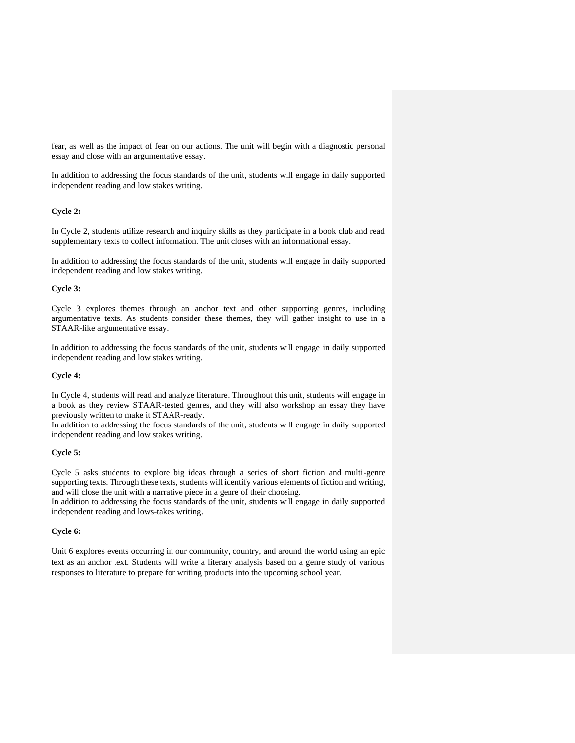fear, as well as the impact of fear on our actions. The unit will begin with a diagnostic personal essay and close with an argumentative essay.

In addition to addressing the focus standards of the unit, students will engage in daily supported independent reading and low stakes writing.

# **Cycle 2:**

In Cycle 2, students utilize research and inquiry skills as they participate in a book club and read supplementary texts to collect information. The unit closes with an informational essay.

In addition to addressing the focus standards of the unit, students will engage in daily supported independent reading and low stakes writing.

#### **Cycle 3:**

Cycle 3 explores themes through an anchor text and other supporting genres, including argumentative texts. As students consider these themes, they will gather insight to use in a STAAR-like argumentative essay.

In addition to addressing the focus standards of the unit, students will engage in daily supported independent reading and low stakes writing.

## **Cycle 4:**

In Cycle 4, students will read and analyze literature. Throughout this unit, students will engage in a book as they review STAAR-tested genres, and they will also workshop an essay they have previously written to make it STAAR-ready.

In addition to addressing the focus standards of the unit, students will engage in daily supported independent reading and low stakes writing.

# **Cycle 5:**

Cycle 5 asks students to explore big ideas through a series of short fiction and multi-genre supporting texts. Through these texts, students will identify various elements of fiction and writing, and will close the unit with a narrative piece in a genre of their choosing.

In addition to addressing the focus standards of the unit, students will engage in daily supported independent reading and lows-takes writing.

#### **Cycle 6:**

Unit 6 explores events occurring in our community, country, and around the world using an epic text as an anchor text. Students will write a literary analysis based on a genre study of various responses to literature to prepare for writing products into the upcoming school year.